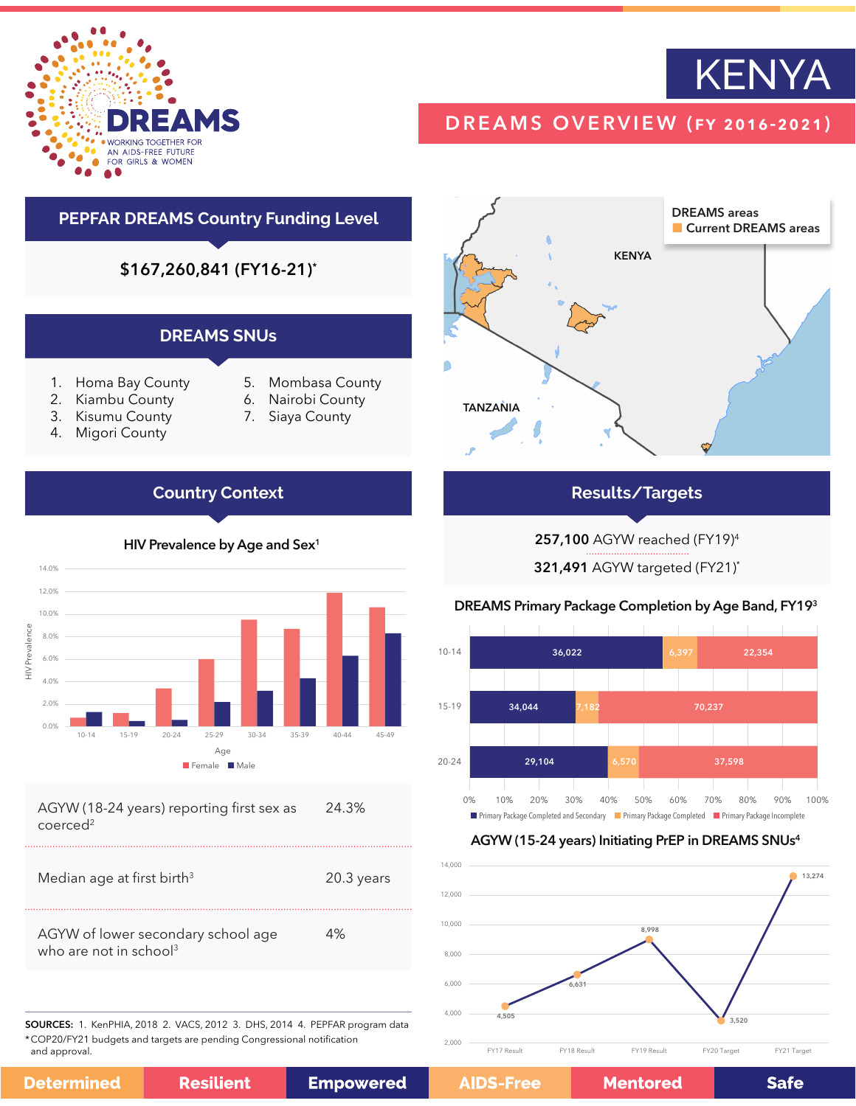



# DREAMS OVERVIEW (fy 2016-2021)

# **PEPFAR DREAMS Country Funding Level**

\$167,260,841 (FY16-21)\*

### **DREAMS SNUs**

- 1. Homa Bay County
- 2. Kiambu County
- 3. Kisumu County
- 4. Migori County
- 5. Mombasa County
- 6. Nairobi County
- 7. Siaya County

## **Country Context**



coerced2 

| Median age at first birth <sup>3</sup>                                   | $20.3$ years |
|--------------------------------------------------------------------------|--------------|
| AGYW of lower secondary school age<br>who are not in school <sup>3</sup> | 4%           |

SOURCES: 1. KenPHIA, 2018 2. VACS, 2012 3. DHS, 2014 4. PEPFAR program data \*COP20/FY21 budgets and targets are pending Congressional notification and approval.

**Resilient** 

**Determined** 

**Empowered** 



## **Results/Targets**

257,100 AGYW reached (FY19)4

321,491 AGYW targeted (FY21)\*

### DREAMS Primary Package Completion by Age Band, FY193



### AGYW (15-24 years) Initiating PrEP in DREAMS SNUs4